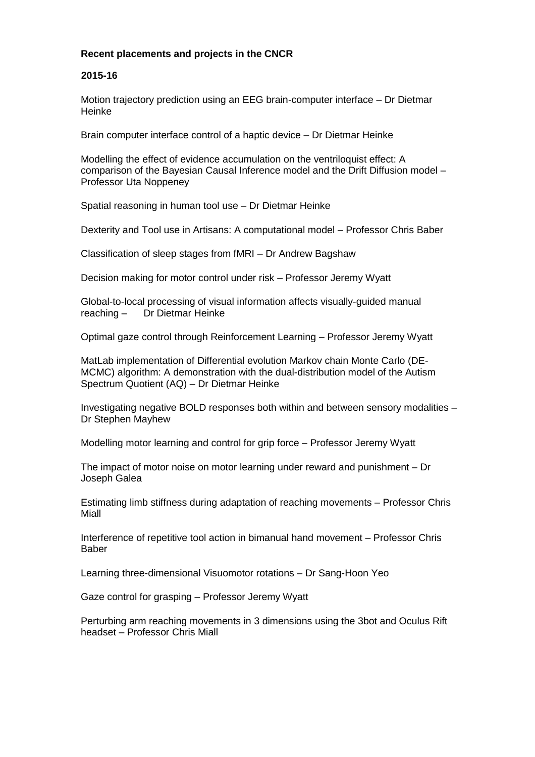#### **Recent placements and projects in the CNCR**

#### **2015-16**

Motion trajectory prediction using an EEG brain-computer interface – Dr Dietmar Heinke

Brain computer interface control of a haptic device – Dr Dietmar Heinke

Modelling the effect of evidence accumulation on the ventriloquist effect: A comparison of the Bayesian Causal Inference model and the Drift Diffusion model – Professor Uta Noppeney

Spatial reasoning in human tool use – Dr Dietmar Heinke

Dexterity and Tool use in Artisans: A computational model – Professor Chris Baber

Classification of sleep stages from fMRI – Dr Andrew Bagshaw

Decision making for motor control under risk – Professor Jeremy Wyatt

Global-to-local processing of visual information affects visually-guided manual reaching – Dr Dietmar Heinke

Optimal gaze control through Reinforcement Learning – Professor Jeremy Wyatt

MatLab implementation of Differential evolution Markov chain Monte Carlo (DE-MCMC) algorithm: A demonstration with the dual-distribution model of the Autism Spectrum Quotient (AQ) – Dr Dietmar Heinke

Investigating negative BOLD responses both within and between sensory modalities – Dr Stephen Mayhew

Modelling motor learning and control for grip force – Professor Jeremy Wyatt

The impact of motor noise on motor learning under reward and punishment – Dr Joseph Galea

Estimating limb stiffness during adaptation of reaching movements – Professor Chris Miall

Interference of repetitive tool action in bimanual hand movement – Professor Chris Baber

Learning three-dimensional Visuomotor rotations – Dr Sang-Hoon Yeo

Gaze control for grasping – Professor Jeremy Wyatt

Perturbing arm reaching movements in 3 dimensions using the 3bot and Oculus Rift headset – Professor Chris Miall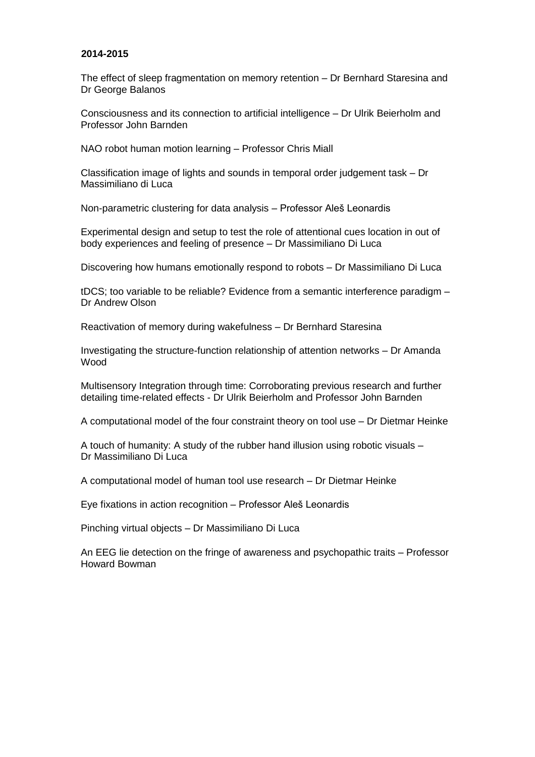#### **2014-2015**

The effect of sleep fragmentation on memory retention – Dr Bernhard Staresina and Dr George Balanos

Consciousness and its connection to artificial intelligence – Dr Ulrik Beierholm and Professor John Barnden

NAO robot human motion learning – Professor Chris Miall

Classification image of lights and sounds in temporal order judgement task – Dr Massimiliano di Luca

Non-parametric clustering for data analysis – Professor Aleš Leonardis

Experimental design and setup to test the role of attentional cues location in out of body experiences and feeling of presence – Dr Massimiliano Di Luca

Discovering how humans emotionally respond to robots – Dr Massimiliano Di Luca

tDCS; too variable to be reliable? Evidence from a semantic interference paradigm – Dr Andrew Olson

Reactivation of memory during wakefulness – Dr Bernhard Staresina

Investigating the structure-function relationship of attention networks – Dr Amanda Wood

Multisensory Integration through time: Corroborating previous research and further detailing time-related effects - Dr Ulrik Beierholm and Professor John Barnden

A computational model of the four constraint theory on tool use – Dr Dietmar Heinke

A touch of humanity: A study of the rubber hand illusion using robotic visuals – Dr Massimiliano Di Luca

A computational model of human tool use research – Dr Dietmar Heinke

Eye fixations in action recognition – Professor Aleš Leonardis

Pinching virtual objects – Dr Massimiliano Di Luca

An EEG lie detection on the fringe of awareness and psychopathic traits – Professor Howard Bowman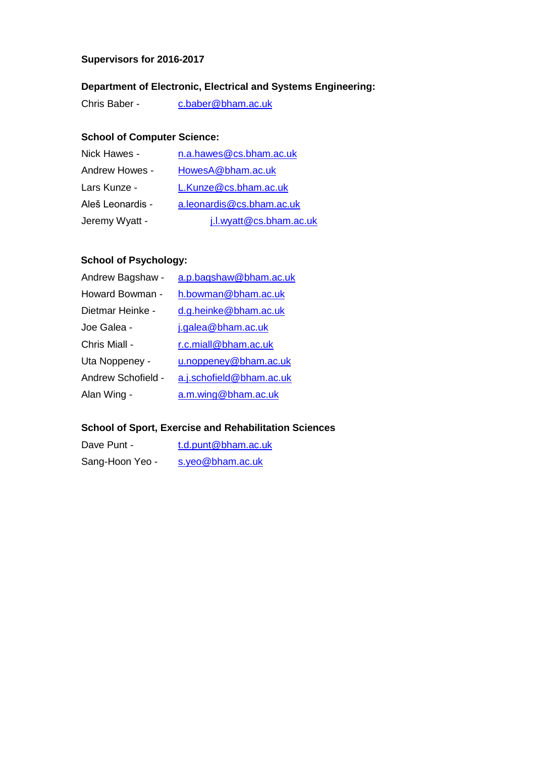#### **Supervisors for 2016-2017**

# **Department of Electronic, Electrical and Systems Engineering:**

Chris Baber - [c.baber@bham.ac.uk](mailto:c.baber@bham.ac.uk)

# **School of Computer Science:**

| Nick Hawes -     | n.a.hawes@cs.bham.ac.uk   |
|------------------|---------------------------|
| Andrew Howes -   | HowesA@bham.ac.uk         |
| Lars Kunze -     | L.Kunze@cs.bham.ac.uk     |
| Aleš Leonardis - | a.leonardis@cs.bham.ac.uk |
| Jeremy Wyatt -   | j.l.wyatt@cs.bham.ac.uk   |

## **School of Psychology:**

| Andrew Bagshaw -   | a.p.bagshaw@bham.ac.uk   |
|--------------------|--------------------------|
| Howard Bowman -    | h.bowman@bham.ac.uk      |
| Dietmar Heinke -   | d.g.heinke@bham.ac.uk    |
| Joe Galea -        | j.galea@bham.ac.uk       |
| Chris Miall -      | r.c.miall@bham.ac.uk     |
| Uta Noppeney -     | u.noppeney@bham.ac.uk    |
| Andrew Schofield - | a.j.schofield@bham.ac.uk |
| Alan Wing -        | a.m.wing@bham.ac.uk      |

# **School of Sport, Exercise and Rehabilitation Sciences**

| Dave Punt -     | t.d.punt@bham.ac.uk |
|-----------------|---------------------|
| Sang-Hoon Yeo - | s.yeo@bham.ac.uk    |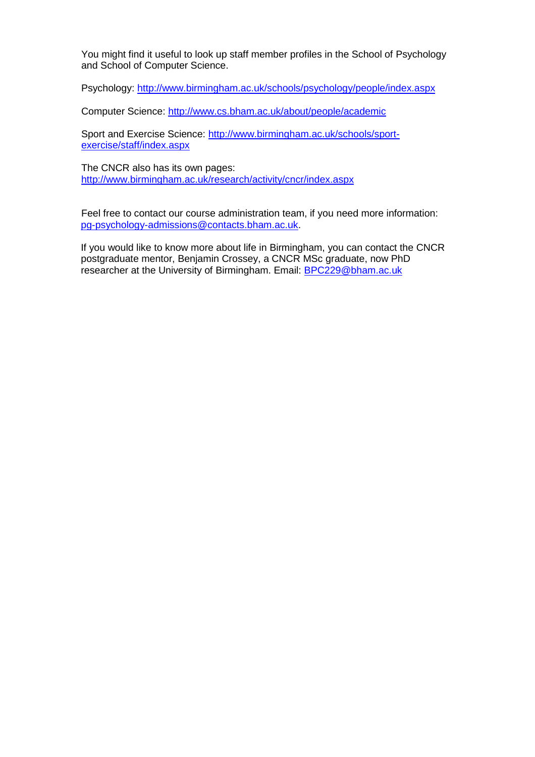You might find it useful to look up staff member profiles in the School of Psychology and School of Computer Science.

Psychology:<http://www.birmingham.ac.uk/schools/psychology/people/index.aspx>

Computer Science:<http://www.cs.bham.ac.uk/about/people/academic>

Sport and Exercise Science: [http://www.birmingham.ac.uk/schools/sport](http://www.birmingham.ac.uk/schools/sport-exercise/staff/index.aspx)[exercise/staff/index.aspx](http://www.birmingham.ac.uk/schools/sport-exercise/staff/index.aspx)

The CNCR also has its own pages: <http://www.birmingham.ac.uk/research/activity/cncr/index.aspx>

Feel free to contact our course administration team, if you need more information: [pg-psychology-admissions@contacts.bham.ac.uk.](mailto:pg-psychology-admissions@contacts.bham.ac.uk)

If you would like to know more about life in Birmingham, you can contact the CNCR postgraduate mentor, Benjamin Crossey, a CNCR MSc graduate, now PhD researcher at the University of Birmingham. Email: [BPC229@bham.ac.uk](mailto:BPC229@bham.ac.uk)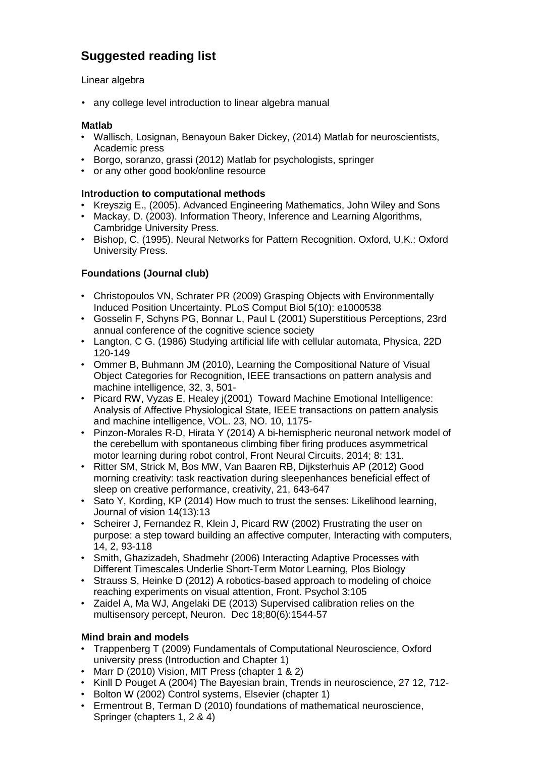# **Suggested reading list**

### Linear algebra

• any college level introduction to linear algebra manual

#### **Matlab**

- Wallisch, Losignan, Benayoun Baker Dickey, (2014) Matlab for neuroscientists, Academic press
- Borgo, soranzo, grassi (2012) Matlab for psychologists, springer
- or any other good book/online resource

### **Introduction to computational methods**

- Kreyszig E., (2005). Advanced Engineering Mathematics, John Wiley and Sons
- Mackay, D. (2003). Information Theory, Inference and Learning Algorithms, Cambridge University Press.
- Bishop, C. (1995). Neural Networks for Pattern Recognition. Oxford, U.K.: Oxford University Press.

## **Foundations (Journal club)**

- Christopoulos VN, Schrater PR (2009) Grasping Objects with Environmentally Induced Position Uncertainty. PLoS Comput Biol 5(10): e1000538
- Gosselin F, Schyns PG, Bonnar L, Paul L (2001) Superstitious Perceptions, 23rd annual conference of the cognitive science society
- Langton, C G. (1986) Studying artificial life with cellular automata, Physica, 22D 120-149
- Ommer B, Buhmann JM (2010), Learning the Compositional Nature of Visual Object Categories for Recognition, IEEE transactions on pattern analysis and machine intelligence, 32, 3, 501-
- Picard RW, Vyzas E, Healey i(2001) Toward Machine Emotional Intelligence: Analysis of Affective Physiological State, IEEE transactions on pattern analysis and machine intelligence, VOL. 23, NO. 10, 1175-
- Pinzon-Morales R-D, Hirata Y (2014) A bi-hemispheric neuronal network model of the cerebellum with spontaneous climbing fiber firing produces asymmetrical motor learning during robot control, Front Neural Circuits. 2014; 8: 131.
- Ritter SM, Strick M, Bos MW, Van Baaren RB, Dijksterhuis AP (2012) Good morning creativity: task reactivation during sleepenhances beneficial effect of sleep on creative performance, creativity, 21, 643-647
- Sato Y, Kording, KP (2014) How much to trust the senses: Likelihood learning, Journal of vision 14(13):13
- Scheirer J, Fernandez R, Klein J, Picard RW (2002) Frustrating the user on purpose: a step toward building an affective computer, Interacting with computers, 14, 2, 93-118
- Smith, Ghazizadeh, Shadmehr (2006) Interacting Adaptive Processes with Different Timescales Underlie Short-Term Motor Learning, Plos Biology
- Strauss S, Heinke D (2012) A robotics-based approach to modeling of choice reaching experiments on visual attention, Front. Psychol 3:105
- Zaidel A, Ma WJ, Angelaki DE (2013) Supervised calibration relies on the multisensory percept, Neuron. Dec 18;80(6):1544-57

## **Mind brain and models**

- Trappenberg T (2009) Fundamentals of Computational Neuroscience, Oxford university press (Introduction and Chapter 1)
- Marr D (2010) Vision, MIT Press (chapter 1 & 2)
- Kinll D Pouget A (2004) The Bayesian brain, Trends in neuroscience, 27 12, 712-
- Bolton W (2002) Control systems, Elsevier (chapter 1)
- Ermentrout B, Terman D (2010) foundations of mathematical neuroscience, Springer (chapters 1, 2 & 4)